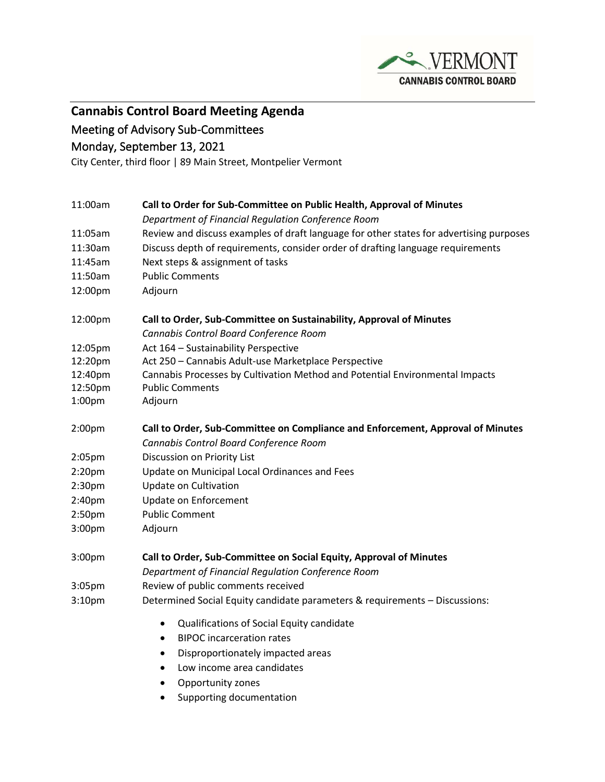

**Cannabis Control Board Meeting Agenda**

Meeting of Advisory Sub-Committees

Monday, September 13, 2021

City Center, third floor | 89 Main Street, Montpelier Vermont

| 11:00am            | Call to Order for Sub-Committee on Public Health, Approval of Minutes<br>Department of Financial Regulation Conference Room |
|--------------------|-----------------------------------------------------------------------------------------------------------------------------|
| 11:05am            |                                                                                                                             |
| 11:30am            | Review and discuss examples of draft language for other states for advertising purposes                                     |
| 11:45am            | Discuss depth of requirements, consider order of drafting language requirements                                             |
|                    | Next steps & assignment of tasks                                                                                            |
| 11:50am            | <b>Public Comments</b>                                                                                                      |
| 12:00pm            | Adjourn                                                                                                                     |
| 12:00pm            | Call to Order, Sub-Committee on Sustainability, Approval of Minutes                                                         |
|                    | Cannabis Control Board Conference Room                                                                                      |
| 12:05pm            | Act 164 - Sustainability Perspective                                                                                        |
| 12:20pm            | Act 250 - Cannabis Adult-use Marketplace Perspective                                                                        |
| 12:40pm            | Cannabis Processes by Cultivation Method and Potential Environmental Impacts                                                |
| 12:50pm            | <b>Public Comments</b>                                                                                                      |
| 1:00pm             | Adjourn                                                                                                                     |
| 2:00 <sub>pm</sub> | Call to Order, Sub-Committee on Compliance and Enforcement, Approval of Minutes                                             |
|                    | Cannabis Control Board Conference Room                                                                                      |
| 2:05 <sub>pm</sub> | Discussion on Priority List                                                                                                 |
| 2:20 <sub>pm</sub> | Update on Municipal Local Ordinances and Fees                                                                               |
| 2:30 <sub>pm</sub> | Update on Cultivation                                                                                                       |
| 2:40pm             | Update on Enforcement                                                                                                       |
| 2:50 <sub>pm</sub> | <b>Public Comment</b>                                                                                                       |
| 3:00pm             | Adjourn                                                                                                                     |
| 3:00pm             | Call to Order, Sub-Committee on Social Equity, Approval of Minutes                                                          |
|                    | Department of Financial Regulation Conference Room                                                                          |
| 3:05pm             | Review of public comments received                                                                                          |
| 3:10pm             | Determined Social Equity candidate parameters & requirements - Discussions:                                                 |
|                    | Qualifications of Social Equity candidate<br>$\bullet$                                                                      |
|                    | <b>BIPOC</b> incarceration rates<br>$\bullet$                                                                               |
|                    | Disproportionately impacted areas<br>$\bullet$                                                                              |
|                    | Low income area candidates<br>$\bullet$                                                                                     |
|                    | Opportunity zones<br>٠                                                                                                      |
|                    | Supporting documentation<br>$\bullet$                                                                                       |
|                    |                                                                                                                             |